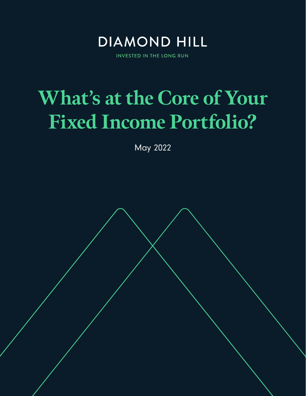

**INVESTED IN THE LONG RUN** 

# **What's at the Core of Your Fixed Income Portfolio?**

May 2022

diamond-hill.com 855.255.8955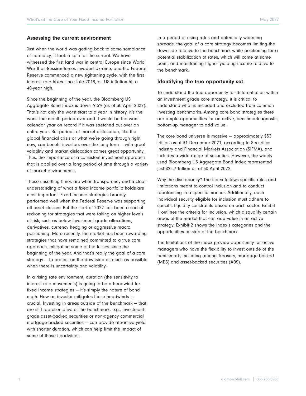#### Assessing the current environment

Just when the world was getting back to some semblance of normalcy, it took a spin for the surreal. We have witnessed the first land war in central Europe since World War II as Russian forces invaded Ukraine, and the Federal Reserve commenced a new tightening cycle, with the first interest rate hikes since late 2018, as US inflation hit a 40-year high.

Since the beginning of the year, the Bloomberg US Aggregate Bond Index is down -9.5% (as of 30 April 2022). That's not only the worst start to a year in history, it's the worst four-month period ever and it would be the worst calendar year on record if it was stretched out over an entire year. But periods of market dislocation, like the global financial crisis or what we're going through right now, can benefit investors over the long term — with great volatility and market dislocation comes great opportunity. Thus, the importance of a consistent investment approach that is applied over a long period of time through a variety of market environments.

These unsettling times are when transparency and a clear understanding of what a fixed income portfolio holds are most important. Fixed income strategies broadly performed well when the Federal Reserve was supporting all asset classes. But the start of 2022 has been a sort of reckoning for strategies that were taking on higher levels of risk, such as below investment grade allocations, derivatives, currency hedging or aggressive macro positioning. More recently, the market has been rewarding strategies that have remained committed to a true core approach, mitigating some of the losses since the beginning of the year. And that's really the goal of a core strategy — to protect on the downside as much as possible when there is uncertainty and volatility.

In a rising rate environment, duration (the sensitivity to interest rate movements) is going to be a headwind for fixed income strategies — it's simply the nature of bond math. How an investor mitigates those headwinds is crucial. Investing in areas outside of the benchmark — that are still representative of the benchmark, e.g., investment grade asset-backed securities or non-agency commercial mortgage-backed securities — can provide attractive yield with shorter duration, which can help limit the impact of some of those headwinds.

In a period of rising rates and potentially widening spreads, the goal of a core strategy becomes limiting the downside relative to the benchmark while positioning for a potential stabilization of rates, which will come at some point, and maintaining higher yielding income relative to the benchmark.

### Identifying the true opportunity set

To understand the true opportunity for differentiation within an investment grade core strategy, it is critical to understand what is included and excluded from common investing benchmarks. Among core bond strategies there are ample opportunities for an active, benchmark-agnostic, bottom-up manager to add value.

The core bond universe is massive — approximately \$53 trillion as of 31 December 2021, according to Securities Industry and Financial Markets Association (SIFMA), and includes a wide range of securities. However, the widely used Bloomberg US Aggregate Bond Index represented just \$24.7 trillion as of 30 April 2022.

Why the discrepancy? The index follows specific rules and limitations meant to control inclusion and to conduct rebalancing in a specific manner. Additionally, each individual security eligible for inclusion must adhere to specific liquidity constraints based on each sector. Exhibit 1 outlines the criteria for inclusion, which disqualify certain areas of the market that can add value in an active strategy. Exhibit 2 shows the index's categories and the opportunities outside of the benchmark.

The limitations of the index provide opportunity for active managers who have the flexibility to invest outside of the benchmark, including among Treasury, mortgage-backed (MBS) and asset-backed securities (ABS).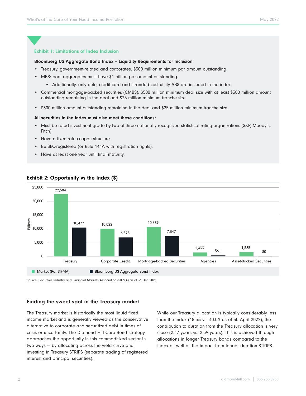#### Exhibit 1: Limitations of Index Inclusion

#### Bloomberg US Aggregate Bond Index – Liquidity Requirements for Inclusion

- Treasury, government-related and corporates: \$300 million minimum par amount outstanding.
- MBS: pool aggregates must have \$1 billion par amount outstanding.
	- Additionally, only auto, credit card and stranded cost utility ABS are included in the index.
- Commercial mortgage-backed securities (CMBS): \$500 million minimum deal size with at least \$300 million amount outstanding remaining in the deal and \$25 million minimum tranche size.
- \$300 million amount outstanding remaining in the deal and \$25 million minimum tranche size.

#### All securities in the index must also meet these conditions:

- Must be rated investment grade by two of three nationally recognized statistical rating organizations (S&P, Moody's, Fitch).
- Have a fixed-rate coupon structure.
- Be SEC-registered (or Rule 144A with registration rights).
- Have at least one year until final maturity.



#### Exhibit 2: Opportunity vs the Index (\$)

Source: Securities Industry and Financial Markets Association (SIFMA) as of 31 Dec 2021.

#### Finding the sweet spot in the Treasury market

The Treasury market is historically the most liquid fixed income market and is generally viewed as the conservative alternative to corporate and securitized debt in times of crisis or uncertainty. The Diamond Hill Core Bond strategy approaches the opportunity in this commoditized sector in two ways — by allocating across the yield curve and investing in Treasury STRIPS (separate trading of registered interest and principal securities).

While our Treasury allocation is typically considerably less than the index (18.5% vs. 40.0% as of 30 April 2022), the contribution to duration from the Treasury allocation is very close (2.47 years vs. 2.59 years). This is achieved through allocations in longer Treasury bonds compared to the index as well as the impact from longer duration STRIPS.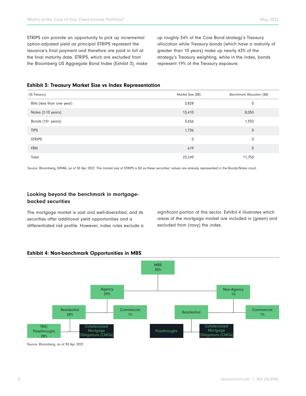STRIPS can provide an opportunity to pick up incremental option-adjusted yield as principal STRIPS represent the issuance's final payment and therefore are paid in full at the final maturity date. STRIPS, which are excluded from the Bloomberg US Aggregate Bond Index (Exhibit 3), make up roughly 34% of the Core Bond strategy's Treasury allocation while Treasury bonds (which have a maturity of greater than 10 years) make up nearly 43% of the strategy's Treasury weighting, while in the index, bonds represent 19% of the Treasury exposure.

## Exhibit 3: Treasury Market Size vs Index Representation

| <b>US Treasury</b>         | Market Size (\$B) | Benchmark Allocation (\$B) |
|----------------------------|-------------------|----------------------------|
| Bills (less than one year) | 3,828             | 0                          |
| Notes (2-10 years)         | 13,410            | 8,053                      |
| Bonds (10+ years)          | 3,656             | 1,932                      |
| <b>TIPS</b>                | 1,736             | $\mathsf 0$                |
| <b>STRIPS</b>              | 0                 | 0                          |
| <b>FRN</b>                 | 619               | $\mathbf{0}$               |
| Total                      | 23,249            | 11,753                     |

Source: Bloomberg, SIFMA, as of 30 Apr 2022. The market size of STRIPS is \$0 as these securities' values are already represented in the Bonds/Notes count.

## Looking beyond the benchmark in mortgagebacked securities

The mortgage market is vast and well-diversified, and its securities offer additional yield opportunities and a differentiated risk profile. However, index rules exclude a significant portion of this sector. Exhibit 4 illustrates which areas of the mortgage market are included in (green) and excluded from (navy) the index.



#### Exhibit 4: Non-benchmark Opportunities in MBS

Source: Bloomberg, as of 30 Apr 2022.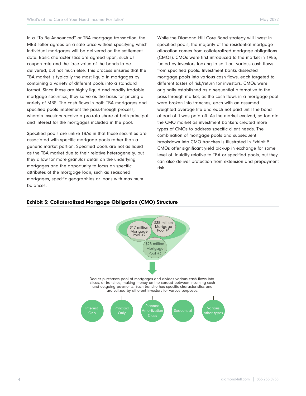In a "To Be Announced" or TBA mortgage transaction, the MBS seller agrees on a sale price without specifying which individual mortgages will be delivered on the settlement date. Basic characteristics are agreed upon, such as coupon rate and the face value of the bonds to be delivered, but not much else. This process ensures that the TBA market is typically the most liquid in mortgages by combining a variety of different pools into a standard format. Since these are highly liquid and readily tradable mortgage securities, they serve as the basis for pricing a variety of MBS. The cash flows in both TBA mortgages and specified pools implement the pass-through process, wherein investors receive a pro-rata share of both principal and interest for the mortgages included in the pool.

Specified pools are unlike TBAs in that these securities are associated with specific mortgage pools rather than a generic market portion. Specified pools are not as liquid as the TBA market due to their relative heterogeneity, but they allow for more granular detail on the underlying mortgages and the opportunity to focus on specific attributes of the mortgage loan, such as seasoned mortgages, specific geographies or loans with maximum balances.

While the Diamond Hill Core Bond strategy will invest in specified pools, the majority of the residential mortgage allocation comes from collateralized mortgage obligations (CMOs). CMOs were first introduced to the market in 1983, fueled by investors looking to split out various cash flows from specified pools. Investment banks dissected mortgage pools into various cash flows, each targeted to different tastes of risk/return for investors. CMOs were originally established as a sequential alternative to the pass-through market, as the cash flows in a mortgage pool were broken into tranches, each with an assumed weighted average life and each not paid until the bond ahead of it was paid off. As the market evolved, so too did the CMO market as investment bankers created more types of CMOs to address specific client needs. The combination of mortgage pools and subsequent breakdown into CMO tranches is illustrated in Exhibit 5. CMOs offer significant yield pick-up in exchange for some level of liquidity relative to TBA or specified pools, but they can also deliver protection from extension and prepayment risk.



## Exhibit 5: Collateralized Mortgage Obligation (CMO) Structure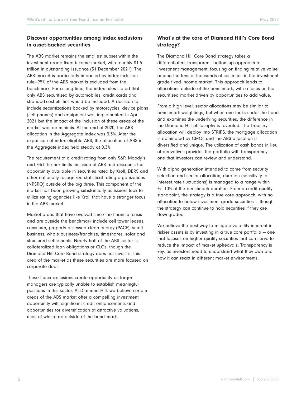## Discover opportunities among index exclusions in asset-backed securities

The ABS market remains the smallest subset within the investment grade fixed income market, with roughly \$1.5 trillion in outstanding issuance (31 December 2021). The ABS market is particularly impacted by index inclusion rule—95% of the ABS market is excluded from the benchmark. For a long time, the index rules stated that only ABS securitized by automobiles, credit cards and stranded-cost utilities would be included. A decision to include securitizations backed by motorcycles, device plans (cell phones) and equipment was implemented in April 2021 but the impact of the inclusion of these areas of the market was de minimis. At the end of 2020, the ABS allocation in the Aggregate index was 0.3%. After the expansion of index eligible ABS, the allocation of ABS in the Aggregate index held steady at 0.3%.

The requirement of a credit rating from only S&P, Moody's and Fitch further limits inclusion of ABS and discounts the opportunity available in securities rated by Kroll, DBRS and other nationally recognized statistical rating organizations (NRSRO) outside of the big three. This component of the market has been growing substantially as issuers look to utilize rating agencies like Kroll that have a stronger focus in the ABS market.

Market areas that have evolved since the financial crisis and are outside the benchmark include cell tower leases, consumer, property assessed clean energy (PACE), small business, whole business/franchise, timeshares, solar and structured settlements. Nearly half of the ABS sector is collateralized loan obligations or CLOs, though the Diamond Hill Core Bond strategy does not invest in this area of the market as these securities are more focused on corporate debt.

These index exclusions create opportunity as larger managers are typically unable to establish meaningful positions in this sector. At Diamond Hill, we believe certain areas of the ABS market offer a compelling investment opportunity with significant credit enhancements and opportunities for diversification at attractive valuations, most of which are outside of the benchmark.

## What's at the core of Diamond Hill's Core Bond strategy?

The Diamond Hill Core Bond strategy takes a differentiated, transparent, bottom-up approach to investment management, focusing on finding relative value among the tens of thousands of securities in the investment grade fixed income market. This approach leads to allocations outside of the benchmark, with a focus on the securitized market driven by opportunities to add value.

From a high level, sector allocations may be similar to benchmark weightings, but when one looks under the hood and examines the underlying securities, the difference in the Diamond Hill philosophy is revealed. The Treasury allocation will deploy into STRIPS, the mortgage allocation is dominated by CMOs and the ABS allocation is diversified and unique. The utilization of cash bonds in lieu of derivatives provides the portfolio with transparency one that investors can review and understand.

With alpha generation intended to come from security selection and sector allocation, duration (sensitivity to interest rate fluctuations) is managed to a range within +/- 10% of the benchmark duration. From a credit quality standpoint, the strategy is a true core approach, with no allocation to below investment grade securities — though the strategy can continue to hold securities if they are downgraded.

We believe the best way to mitigate volatility inherent in riskier assets is by investing in a true core portfolio — one that focuses on higher quality securities that can serve to reduce the impact of market upheavals. Transparency is key, as investors need to understand what they own and how it can react in different market environments.